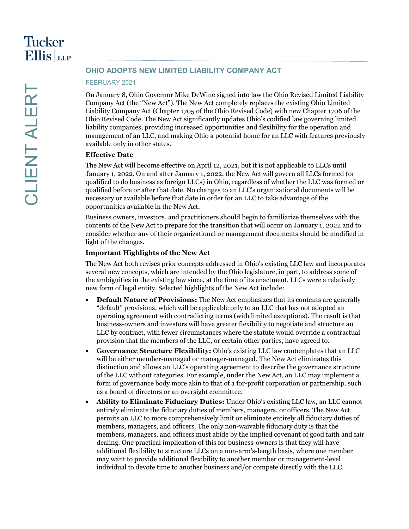# **OHIO ADOPTS NEW LIMITED LIABILITY COMPANY ACT**

#### FEBRUARY 2021

On January 8, Ohio Governor Mike DeWine signed into law the Ohio Revised Limited Liability Company Act (the "New Act"). The New Act completely replaces the existing Ohio Limited Liability Company Act (Chapter 1705 of the Ohio Revised Code) with new Chapter 1706 of the Ohio Revised Code. The New Act significantly updates Ohio's codified law governing limited liability companies, providing increased opportunities and flexibility for the operation and management of an LLC, and making Ohio a potential home for an LLC with features previously available only in other states.

## **Effective Date**

The New Act will become effective on April 12, 2021, but it is not applicable to LLCs until January 1, 2022. On and after January 1, 2022, the New Act will govern all LLCs formed (or qualified to do business as foreign LLCs) in Ohio, regardless of whether the LLC was formed or qualified before or after that date. No changes to an LLC's organizational documents will be necessary or available before that date in order for an LLC to take advantage of the opportunities available in the New Act.

Business owners, investors, and practitioners should begin to familiarize themselves with the contents of the New Act to prepare for the transition that will occur on January 1, 2022 and to consider whether any of their organizational or management documents should be modified in light of the changes.

### **Important Highlights of the New Act**

The New Act both revises prior concepts addressed in Ohio's existing LLC law and incorporates several new concepts, which are intended by the Ohio legislature, in part, to address some of the ambiguities in the existing law since, at the time of its enactment, LLCs were a relatively new form of legal entity. Selected highlights of the New Act include:

- **Default Nature of Provisions:** The New Act emphasizes that its contents are generally "default" provisions, which will be applicable only to an LLC that has not adopted an operating agreement with contradicting terms (with limited exceptions). The result is that business-owners and investors will have greater flexibility to negotiate and structure an LLC by contract, with fewer circumstances where the statute would override a contractual provision that the members of the LLC, or certain other parties, have agreed to.
- **Governance Structure Flexibility:** Ohio's existing LLC law contemplates that an LLC will be either member-managed or manager-managed. The New Act eliminates this distinction and allows an LLC's operating agreement to describe the governance structure of the LLC without categories. For example, under the New Act, an LLC may implement a form of governance body more akin to that of a for-profit corporation or partnership, such as a board of directors or an oversight committee.
- **Ability to Eliminate Fiduciary Duties:** Under Ohio's existing LLC law, an LLC cannot entirely eliminate the fiduciary duties of members, managers, or officers. The New Act permits an LLC to more comprehensively limit or eliminate entirely all fiduciary duties of members, managers, and officers. The only non-waivable fiduciary duty is that the members, managers, and officers must abide by the implied covenant of good faith and fair dealing. One practical implication of this for business-owners is that they will have additional flexibility to structure LLCs on a non-arm's-length basis, where one member may want to provide additional flexibility to another member or management-level individual to devote time to another business and/or compete directly with the LLC.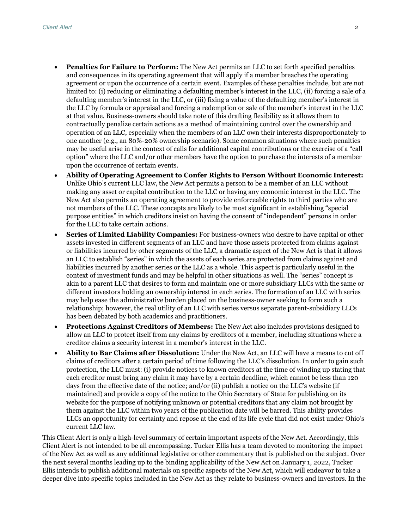- **Penalties for Failure to Perform:** The New Act permits an LLC to set forth specified penalties and consequences in its operating agreement that will apply if a member breaches the operating agreement or upon the occurrence of a certain event. Examples of these penalties include, but are not limited to: (i) reducing or eliminating a defaulting member's interest in the LLC, (ii) forcing a sale of a defaulting member's interest in the LLC, or (iii) fixing a value of the defaulting member's interest in the LLC by formula or appraisal and forcing a redemption or sale of the member's interest in the LLC at that value. Business-owners should take note of this drafting flexibility as it allows them to contractually penalize certain actions as a method of maintaining control over the ownership and operation of an LLC, especially when the members of an LLC own their interests disproportionately to one another (e.g., an 80%-20% ownership scenario). Some common situations where such penalties may be useful arise in the context of calls for additional capital contributions or the exercise of a "call option" where the LLC and/or other members have the option to purchase the interests of a member upon the occurrence of certain events.
- **Ability of Operating Agreement to Confer Rights to Person Without Economic Interest:** Unlike Ohio's current LLC law, the New Act permits a person to be a member of an LLC without making any asset or capital contribution to the LLC or having any economic interest in the LLC. The New Act also permits an operating agreement to provide enforceable rights to third parties who are not members of the LLC. These concepts are likely to be most significant in establishing "special purpose entities" in which creditors insist on having the consent of "independent" persons in order for the LLC to take certain actions.
- **Series of Limited Liability Companies:** For business-owners who desire to have capital or other assets invested in different segments of an LLC and have those assets protected from claims against or liabilities incurred by other segments of the LLC, a dramatic aspect of the New Act is that it allows an LLC to establish "series" in which the assets of each series are protected from claims against and liabilities incurred by another series or the LLC as a whole. This aspect is particularly useful in the context of investment funds and may be helpful in other situations as well. The "series" concept is akin to a parent LLC that desires to form and maintain one or more subsidiary LLCs with the same or different investors holding an ownership interest in each series. The formation of an LLC with series may help ease the administrative burden placed on the business-owner seeking to form such a relationship; however, the real utility of an LLC with series versus separate parent-subsidiary LLCs has been debated by both academics and practitioners.
- **Protections Against Creditors of Members:** The New Act also includes provisions designed to allow an LLC to protect itself from any claims by creditors of a member, including situations where a creditor claims a security interest in a member's interest in the LLC.
- **Ability to Bar Claims after Dissolution:** Under the New Act, an LLC will have a means to cut off claims of creditors after a certain period of time following the LLC's dissolution. In order to gain such protection, the LLC must: (i) provide notices to known creditors at the time of winding up stating that each creditor must bring any claim it may have by a certain deadline, which cannot be less than 120 days from the effective date of the notice; and/or (ii) publish a notice on the LLC's website (if maintained) and provide a copy of the notice to the Ohio Secretary of State for publishing on its website for the purpose of notifying unknown or potential creditors that any claim not brought by them against the LLC within two years of the publication date will be barred. This ability provides LLCs an opportunity for certainty and repose at the end of its life cycle that did not exist under Ohio's current LLC law.

This Client Alert is only a high-level summary of certain important aspects of the New Act. Accordingly, this Client Alert is not intended to be all encompassing. Tucker Ellis has a team devoted to monitoring the impact of the New Act as well as any additional legislative or other commentary that is published on the subject. Over the next several months leading up to the binding applicability of the New Act on January 1, 2022, Tucker Ellis intends to publish additional materials on specific aspects of the New Act, which will endeavor to take a deeper dive into specific topics included in the New Act as they relate to business-owners and investors. In the